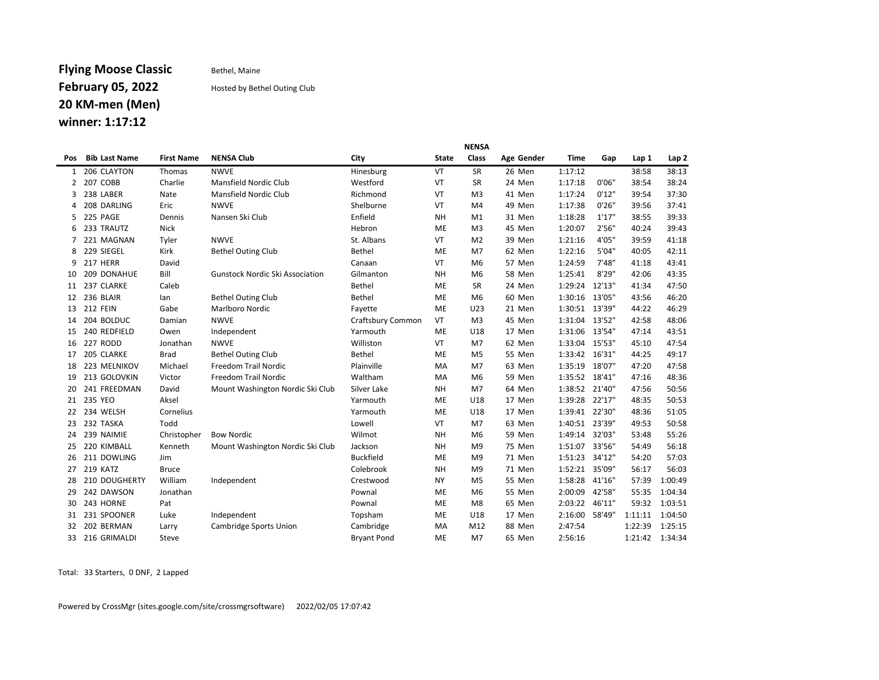## Flying Moose Classic Bethel, Maine February 05, 2022 Hosted by Bethel Outing Club 20 KM-men (Men)

### winner: 1:17:12

|     |                      | <b>NENSA</b>      |                                        |                    |              |                |            |                |        |         |                  |  |  |  |
|-----|----------------------|-------------------|----------------------------------------|--------------------|--------------|----------------|------------|----------------|--------|---------|------------------|--|--|--|
| Pos | <b>Bib Last Name</b> | <b>First Name</b> | <b>NENSA Club</b>                      | City               | <b>State</b> | Class          | Age Gender | Time           | Gap    | Lap 1   | Lap <sub>2</sub> |  |  |  |
| 1   | 206 CLAYTON          | Thomas            | <b>NWVE</b>                            | Hinesburg          | VT           | SR             | 26 Men     | 1:17:12        |        | 38:58   | 38:13            |  |  |  |
| 2   | 207 COBB             | Charlie           | Mansfield Nordic Club                  | Westford           | VT           | SR             | 24 Men     | 1:17:18        | 0'06"  | 38:54   | 38:24            |  |  |  |
| 3   | 238 LABER            | Nate              | Mansfield Nordic Club                  | Richmond           | VT           | M <sub>3</sub> | 41 Men     | 1:17:24        | 0'12"  | 39:54   | 37:30            |  |  |  |
| 4   | 208 DARLING          | Eric              | <b>NWVE</b>                            | Shelburne          | VT           | M <sub>4</sub> | 49 Men     | 1:17:38        | 0'26"  | 39:56   | 37:41            |  |  |  |
| 5   | 225 PAGE             | Dennis            | Nansen Ski Club                        | Enfield            | <b>NH</b>    | M1             | 31 Men     | 1:18:28        | 1'17'' | 38:55   | 39:33            |  |  |  |
| 6   | 233 TRAUTZ           | <b>Nick</b>       |                                        | Hebron             | ME           | M <sub>3</sub> | 45 Men     | 1:20:07        | 2'56"  | 40:24   | 39:43            |  |  |  |
| 7   | 221 MAGNAN           | Tyler             | <b>NWVE</b>                            | St. Albans         | VT           | M <sub>2</sub> | 39 Men     | 1:21:16        | 4'05"  | 39:59   | 41:18            |  |  |  |
| 8   | 229 SIEGEL           | Kirk              | <b>Bethel Outing Club</b>              | <b>Bethel</b>      | ME           | M <sub>7</sub> | 62 Men     | 1:22:16        | 5'04"  | 40:05   | 42:11            |  |  |  |
| 9   | 217 HERR             | David             |                                        | Canaan             | VT           | M <sub>6</sub> | 57 Men     | 1:24:59        | 7'48"  | 41:18   | 43:41            |  |  |  |
| 10  | 209 DONAHUE          | Bill              | <b>Gunstock Nordic Ski Association</b> | Gilmanton          | <b>NH</b>    | M <sub>6</sub> | 58 Men     | 1:25:41        | 8'29"  | 42:06   | 43:35            |  |  |  |
| 11  | 237 CLARKE           | Caleb             |                                        | <b>Bethel</b>      | ME           | SR             | 24 Men     | 1:29:24        | 12'13" | 41:34   | 47:50            |  |  |  |
| 12  | 236 BLAIR            | lan               | <b>Bethel Outing Club</b>              | <b>Bethel</b>      | ME           | M <sub>6</sub> | 60 Men     | 1:30:16        | 13'05" | 43:56   | 46:20            |  |  |  |
| 13  | <b>212 FEIN</b>      | Gabe              | <b>Marlboro Nordic</b>                 | Fayette            | ME           | U23            | 21 Men     | 1:30:51 13'39" |        | 44:22   | 46:29            |  |  |  |
| 14  | 204 BOLDUC           | Damian            | <b>NWVE</b>                            | Craftsbury Common  | VT           | M <sub>3</sub> | 45 Men     | 1:31:04 13'52" |        | 42:58   | 48:06            |  |  |  |
| 15  | 240 REDFIELD         | Owen              | Independent                            | Yarmouth           | ME           | U18            | 17 Men     | 1:31:06        | 13'54" | 47:14   | 43:51            |  |  |  |
| 16  | 227 RODD             | Jonathan          | <b>NWVE</b>                            | Williston          | VT           | M <sub>7</sub> | 62 Men     | 1:33:04 15'53" |        | 45:10   | 47:54            |  |  |  |
| 17  | 205 CLARKE           | <b>Brad</b>       | <b>Bethel Outing Club</b>              | <b>Bethel</b>      | ME           | M <sub>5</sub> | 55 Men     | 1:33:42        | 16'31" | 44:25   | 49:17            |  |  |  |
| 18  | 223 MELNIKOV         | Michael           | Freedom Trail Nordic                   | Plainville         | MA           | M7             | 63 Men     | 1:35:19        | 18'07" | 47:20   | 47:58            |  |  |  |
| 19  | 213 GOLOVKIN         | Victor            | Freedom Trail Nordic                   | Waltham            | MA           | M <sub>6</sub> | 59 Men     | 1:35:52 18'41" |        | 47:16   | 48:36            |  |  |  |
| 20  | 241 FREEDMAN         | David             | Mount Washington Nordic Ski Club       | Silver Lake        | <b>NH</b>    | M <sub>7</sub> | 64 Men     | 1:38:52        | 21'40" | 47:56   | 50:56            |  |  |  |
| 21  | 235 YEO              | Aksel             |                                        | Yarmouth           | ME           | U18            | 17 Men     | 1:39:28 22'17" |        | 48:35   | 50:53            |  |  |  |
| 22  | 234 WELSH            | Cornelius         |                                        | Yarmouth           | ME           | U18            | 17 Men     | 1:39:41 22'30" |        | 48:36   | 51:05            |  |  |  |
| 23  | 232 TASKA            | Todd              |                                        | Lowell             | VT           | M <sub>7</sub> | 63 Men     | 1:40:51        | 23'39" | 49:53   | 50:58            |  |  |  |
| 24  | 239 NAIMIE           | Christopher       | <b>Bow Nordic</b>                      | Wilmot             | <b>NH</b>    | M <sub>6</sub> | 59 Men     | 1:49:14        | 32'03" | 53:48   | 55:26            |  |  |  |
| 25  | 220 KIMBALL          | Kenneth           | Mount Washington Nordic Ski Club       | Jackson            | <b>NH</b>    | M <sub>9</sub> | 75 Men     | 1:51:07        | 33'56" | 54:49   | 56:18            |  |  |  |
| 26  | 211 DOWLING          | Jim               |                                        | <b>Buckfield</b>   | ME           | M <sub>9</sub> | 71 Men     | 1:51:23        | 34'12" | 54:20   | 57:03            |  |  |  |
| 27  | 219 KATZ             | Bruce             |                                        | Colebrook          | <b>NH</b>    | M <sub>9</sub> | 71 Men     | 1:52:21        | 35'09" | 56:17   | 56:03            |  |  |  |
| 28  | 210 DOUGHERTY        | William           | Independent                            | Crestwood          | <b>NY</b>    | M <sub>5</sub> | 55 Men     | 1:58:28        | 41'16" | 57:39   | 1:00:49          |  |  |  |
| 29  | 242 DAWSON           | Jonathan          |                                        | Pownal             | ME           | M <sub>6</sub> | 55 Men     | 2:00:09        | 42'58" | 55:35   | 1:04:34          |  |  |  |
| 30  | 243 HORNE            | Pat               |                                        | Pownal             | ME           | M <sub>8</sub> | 65 Men     | 2:03:22        | 46'11" | 59:32   | 1:03:51          |  |  |  |
| 31  | 231 SPOONER          | Luke              | Independent                            | Topsham            | ME           | U18            | 17 Men     | 2:16:00        | 58'49" | 1:11:11 | 1:04:50          |  |  |  |
| 32  | 202 BERMAN           | Larry             | Cambridge Sports Union                 | Cambridge          | MA           | M12            | 88 Men     | 2:47:54        |        | 1:22:39 | 1:25:15          |  |  |  |
| 33  | 216 GRIMALDI         | Steve             |                                        | <b>Bryant Pond</b> | ME           | M7             | 65 Men     | 2:56:16        |        | 1:21:42 | 1:34:34          |  |  |  |

Total: 33 Starters, 0 DNF, 2 Lapped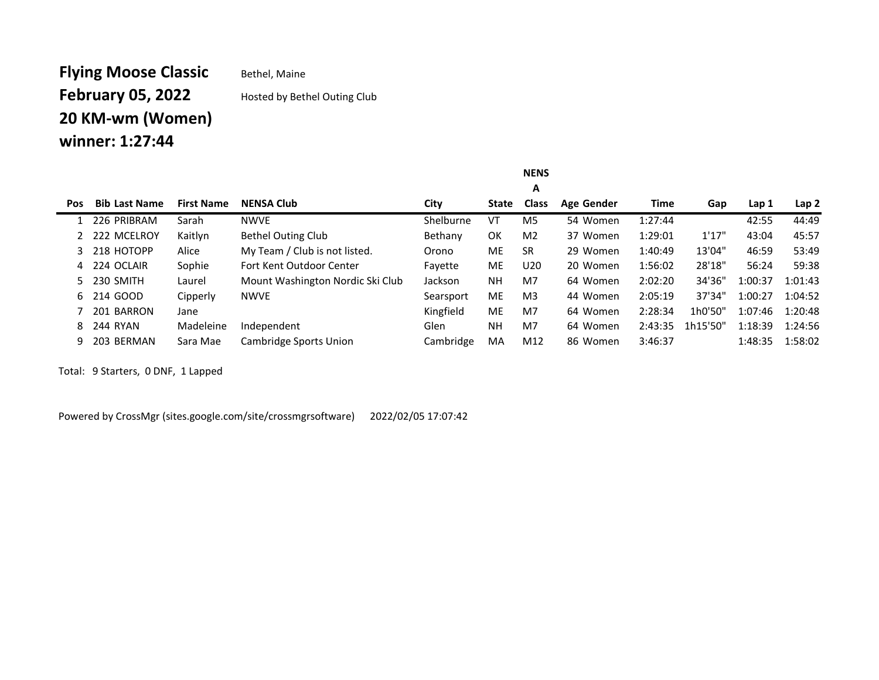## **Flying Moose Classic** Bethel, Maine **February 05, 2022** Hosted by Bethel Outing Club 20 KM-wm (Women) winner: 1:27:44

#### Pos Bib Last Name First Name NENSA Club City City State Class A Age Gender Time Gap Lap 1 Lap 2 1 226 PRIBRAM Sarah NWVE Shelburne VT M5 54 Women 1:27:44 42:55 44:49 2 222 MCELROY Kaitlyn Bethel Outing Club Bethany OK M2 37 Women 1:29:01 1'17" 43:04 45:57 3 218 HOTOPP Alice My Team / Club is not listed. Orono ME SR 29 Women 1:40:49 13'04" 46:59 53:49 4 224 OCLAIR Sophie Fort Kent Outdoor Center Fayette ME U20 20 Women 1:56:02 28'18" 56:24 59:38 5 230 SMITH Laurel Mount Washington Nordic Ski Club Jackson NH M7 64 Women 2:02:20 34'36" 1:00:37 1:01:43 6 214 GOOD Cipperly NWVE Searsport ME M3 44 Women 2:05:19 37'34" 1:00:27 1:04:52 7 201 BARRON Jane Kingfield ME M7 64 Women 2:28:34 1h0'50" 1:07:46 1:20:48 8 244 RYAN Madeleine Independent Glen NH M7 64 Women 2:43:35 1h15'50" 1:18:39 1:24:56 9 203 BERMAN Sara Mae Cambridge Sports Union Cambridge MA M12 86 Women 3:46:37 1:48:35 1:58:02

NENS

Total: 9 Starters, 0 DNF, 1 Lapped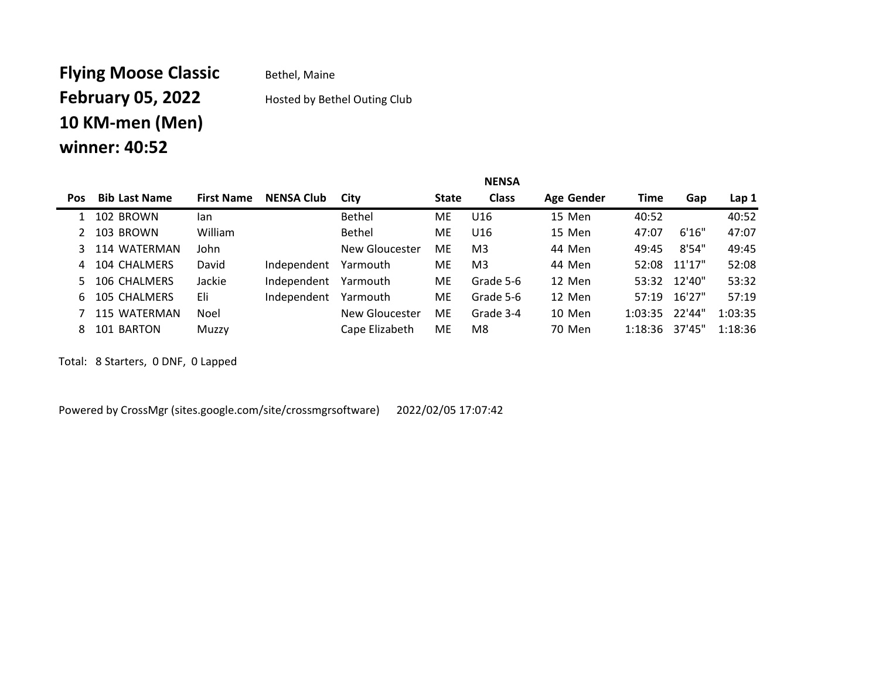# **Flying Moose Classic** Bethel, Maine February 05, 2022 Hosted by Bethel Outing Club 10 KM-men (Men) winner: 40:52

Pos Bib Last Name First Name NENSA Club City State Class Age Gender Time Gap Lap 1 102 BROWN Ian Bethel ME U16 15 Men 40:52 40:52 103 BROWN William Bethel ME U16 15 Men 47:07 6'16" 47:07 114 WATERMAN John New Gloucester ME M3 44 Men 49:45 8'54" 49:45 104 CHALMERS David Independent Yarmouth ME M3 44 Men 52:08 11'17" 52:08 106 CHALMERS Jackie Independent Yarmouth ME Grade 5-6 12 Men 53:32 12'40" 53:32 105 CHALMERS Eli Independent Yarmouth ME Grade 5-6 12 Men 57:19 16'27" 57:19 115 WATERMAN Noel New Gloucester ME Grade 3-4 10 Men 1:03:35 22'44" 1:03:35 101 BARTON Muzzy Cape Elizabeth ME M8 70 Men 1:18:36 37'45" 1:18:36

NENSA

Total: 8 Starters, 0 DNF, 0 Lapped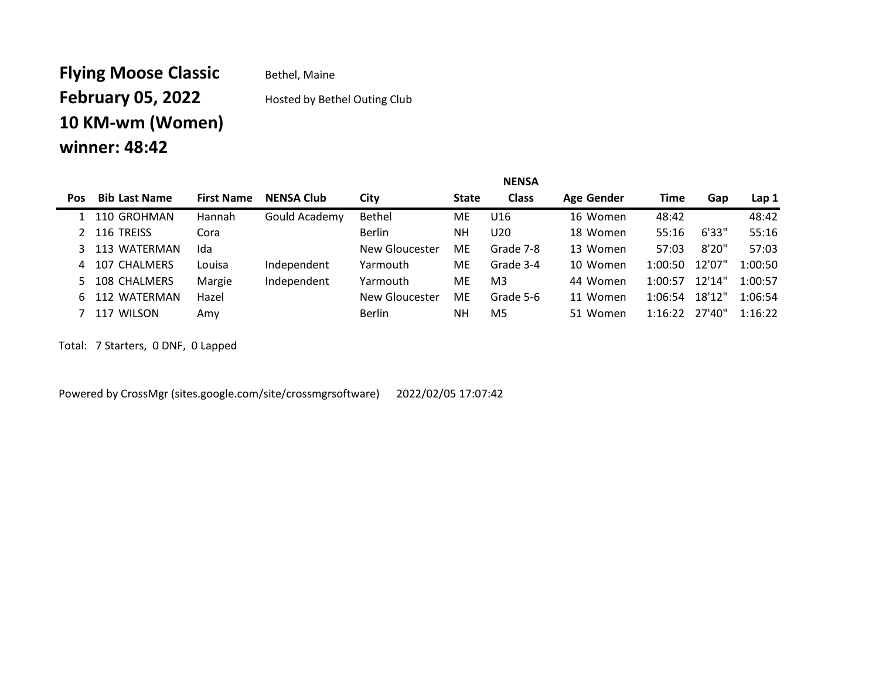# Flying Moose Classic Bethel, Maine February 05, 2022 Hosted by Bethel Outing Club 10 KM-wm (Women) winner: 48:42

|            |                      | <b>NENSA</b>      |                   |                |              |                |            |         |        |         |
|------------|----------------------|-------------------|-------------------|----------------|--------------|----------------|------------|---------|--------|---------|
| <b>Pos</b> | <b>Bib Last Name</b> | <b>First Name</b> | <b>NENSA Club</b> | City           | <b>State</b> | <b>Class</b>   | Age Gender | Time    | Gap    | Lap 1   |
|            | 1 110 GROHMAN        | <b>Hannah</b>     | Gould Academy     | <b>Bethel</b>  | ME.          | U16            | 16 Women   | 48:42   |        | 48:42   |
|            | 2 116 TREISS         | Cora              |                   | <b>Berlin</b>  | NΗ           | U20            | 18 Women   | 55:16   | 6'33"  | 55:16   |
|            | 3 113 WATERMAN       | Ida               |                   | New Gloucester | ME           | Grade 7-8      | 13 Women   | 57:03   | 8'20"  | 57:03   |
| 4          | 107 CHALMERS         | Louisa            | Independent       | Yarmouth       | ME.          | Grade 3-4      | 10 Women   | 1:00:50 | 12'07" | 1:00:50 |
|            | 5 108 CHALMERS       | Margie            | Independent       | Yarmouth       | <b>ME</b>    | M <sub>3</sub> | 44 Women   | 1:00:57 | 12'14" | 1:00:57 |
| 6.         | 112 WATERMAN         | Hazel             |                   | New Gloucester | ME           | Grade 5-6      | 11 Women   | 1:06:54 | 18'12" | 1:06:54 |
|            | 117 WILSON           | Amv               |                   | <b>Berlin</b>  | NΗ           | M <sub>5</sub> | 51 Women   | 1:16:22 | 27'40" | 1:16:22 |

Total: 7 Starters, 0 DNF, 0 Lapped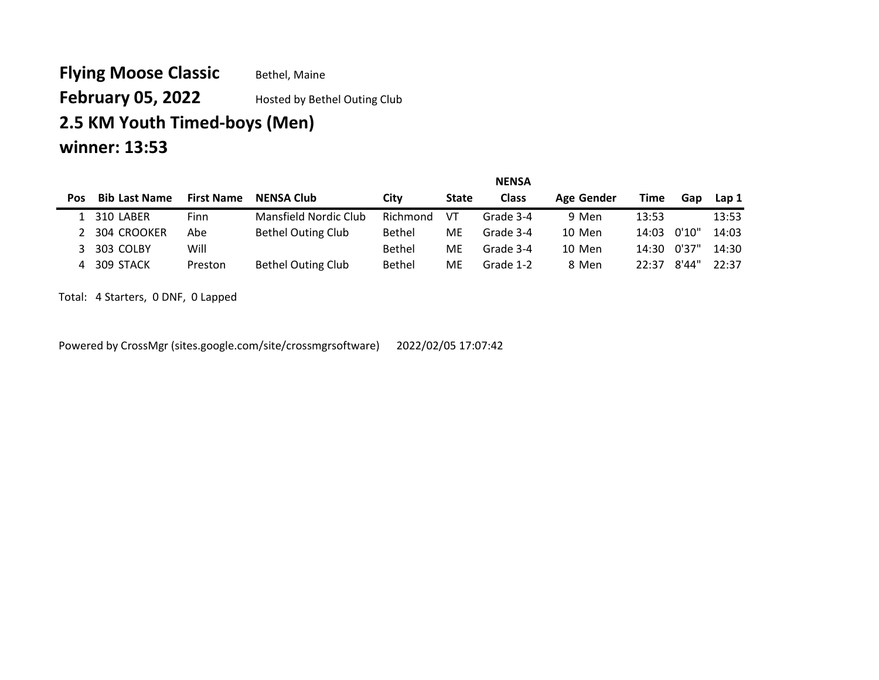Flying Moose Classic Bethel, Maine February 05, 2022 Hosted by Bethel Outing Club 2.5 KM Youth Timed-boys (Men) winner: 13:53

|            |                      |                   |                           |               |              | <b>NENSA</b> |            |             |         |                  |
|------------|----------------------|-------------------|---------------------------|---------------|--------------|--------------|------------|-------------|---------|------------------|
| <b>Pos</b> | <b>Bib Last Name</b> | <b>First Name</b> | <b>NENSA Club</b>         | Citv          | <b>State</b> | <b>Class</b> | Age Gender | <b>Time</b> | Gap     | Lap <sub>1</sub> |
|            | 310 LABER            | <b>Finn</b>       | Mansfield Nordic Club     | Richmond      | VT           | Grade 3-4    | 9 Men      | 13:53       |         | 13:53            |
|            | 304 CROOKER          | Abe               | <b>Bethel Outing Club</b> | Bethel        | ME           | Grade 3-4    | 10 Men     | 14:03       | 0'10"   | 14:03            |
|            | 303 COLBY            | Will              |                           | Bethel        | ME           | Grade 3-4    | 10 Men     | 14:30       | 、 0'37" | 14:30            |
| 4          | 309 STACK            | Preston           | <b>Bethel Outing Club</b> | <b>Bethel</b> | ME           | Grade 1-2    | 8 Men      | 22:37       | 8'44"   | 22:37            |

NENSA

Total: 4 Starters, 0 DNF, 0 Lapped

 $\blacksquare$